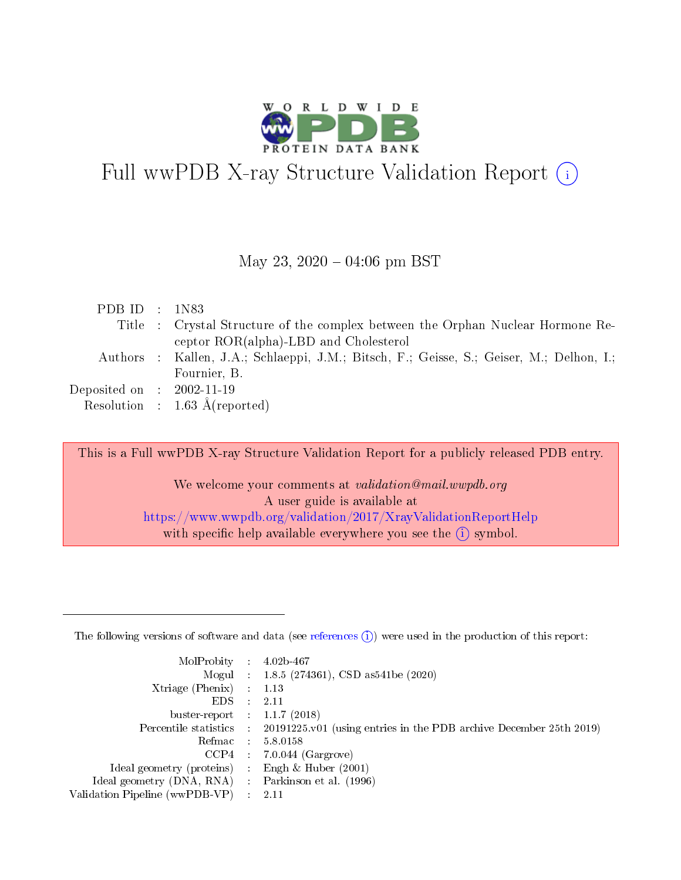

# Full wwPDB X-ray Structure Validation Report  $(i)$

#### May 23,  $2020 - 04:06$  pm BST

| PDB ID : $1N83$             |                                                                                          |
|-----------------------------|------------------------------------------------------------------------------------------|
|                             | Title : Crystal Structure of the complex between the Orphan Nuclear Hormone Re-          |
|                             | ceptor ROR(alpha)-LBD and Cholesterol                                                    |
|                             | Authors : Kallen, J.A.; Schlaeppi, J.M.; Bitsch, F.; Geisse, S.; Geiser, M.; Delhon, I.; |
|                             | Fournier, B.                                                                             |
| Deposited on : $2002-11-19$ |                                                                                          |
|                             | Resolution : $1.63 \text{ Å}$ (reported)                                                 |

This is a Full wwPDB X-ray Structure Validation Report for a publicly released PDB entry.

We welcome your comments at validation@mail.wwpdb.org A user guide is available at <https://www.wwpdb.org/validation/2017/XrayValidationReportHelp> with specific help available everywhere you see the  $(i)$  symbol.

The following versions of software and data (see [references](https://www.wwpdb.org/validation/2017/XrayValidationReportHelp#references)  $(1)$ ) were used in the production of this report:

| MolProbity                     | $\mathcal{L}_{\rm{max}}$ | $4.02b - 467$                                                                |
|--------------------------------|--------------------------|------------------------------------------------------------------------------|
|                                |                          | Mogul : $1.8.5$ (274361), CSD as 541be (2020)                                |
| $X$ triage (Phenix) :          |                          | 1.13                                                                         |
| EDS.                           |                          | 2.11                                                                         |
| buster-report : $1.1.7$ (2018) |                          |                                                                              |
| Percentile statistics :        |                          | $20191225 \text{ v}01$ (using entries in the PDB archive December 25th 2019) |
| Refmac                         |                          | 5.8.0158                                                                     |
| $CCP4$ :                       |                          | $7.0.044$ (Gargrove)                                                         |
| Ideal geometry (proteins) :    |                          | Engh $\&$ Huber (2001)                                                       |
| Ideal geometry (DNA, RNA) :    |                          | Parkinson et al. (1996)                                                      |
| Validation Pipeline (wwPDB-VP) | $\mathcal{L}$            | -2.11                                                                        |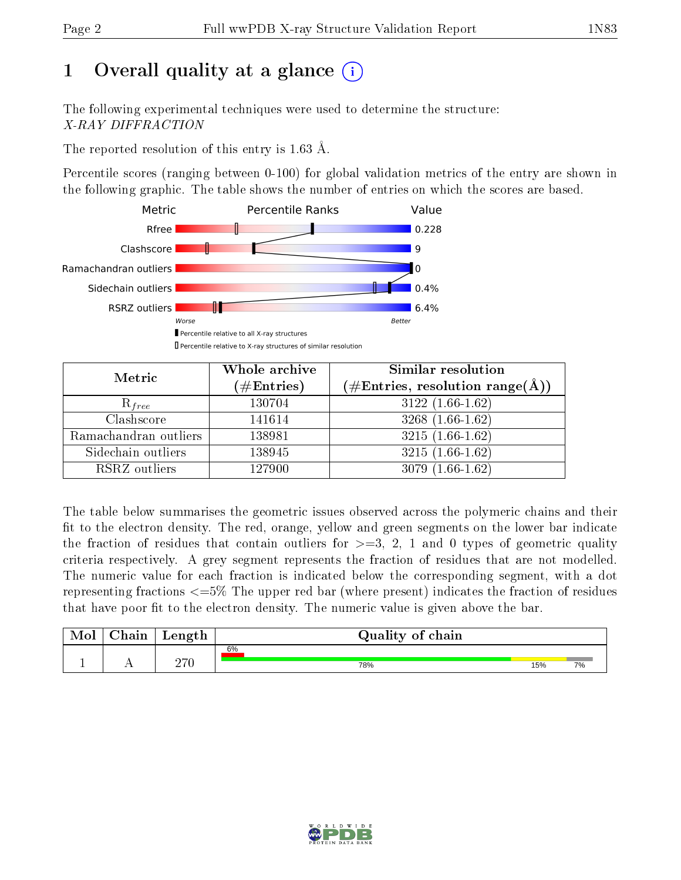# 1 [O](https://www.wwpdb.org/validation/2017/XrayValidationReportHelp#overall_quality)verall quality at a glance  $(i)$

The following experimental techniques were used to determine the structure: X-RAY DIFFRACTION

The reported resolution of this entry is 1.63 Å.

Percentile scores (ranging between 0-100) for global validation metrics of the entry are shown in the following graphic. The table shows the number of entries on which the scores are based.



| Metric                | Whole archive<br>$(\#Entries)$ | Similar resolution<br>$(\#\text{Entries},\,\text{resolution}\,\,\text{range}(\textup{\AA}))$ |  |  |
|-----------------------|--------------------------------|----------------------------------------------------------------------------------------------|--|--|
| $R_{free}$            | 130704                         | $3122(1.66-1.62)$                                                                            |  |  |
| Clashscore            | 141614                         | $3268(1.66-1.62)$                                                                            |  |  |
| Ramachandran outliers | 138981                         | $3215(1.66-1.62)$                                                                            |  |  |
| Sidechain outliers    | 138945                         | $3215(1.66-1.62)$                                                                            |  |  |
| RSRZ outliers         | 127900                         | $3079(1.66-1.62)$                                                                            |  |  |

The table below summarises the geometric issues observed across the polymeric chains and their fit to the electron density. The red, orange, yellow and green segments on the lower bar indicate the fraction of residues that contain outliers for  $>=3, 2, 1$  and 0 types of geometric quality criteria respectively. A grey segment represents the fraction of residues that are not modelled. The numeric value for each fraction is indicated below the corresponding segment, with a dot representing fractions  $\epsilon=5\%$  The upper red bar (where present) indicates the fraction of residues that have poor fit to the electron density. The numeric value is given above the bar.

| Mol | $\cap$ hain | Length | Quality of chain |     |    |  |  |  |  |
|-----|-------------|--------|------------------|-----|----|--|--|--|--|
|     |             |        | 6%               |     |    |  |  |  |  |
| л.  | . .         | חדה    | 78%              | 15% | 7% |  |  |  |  |

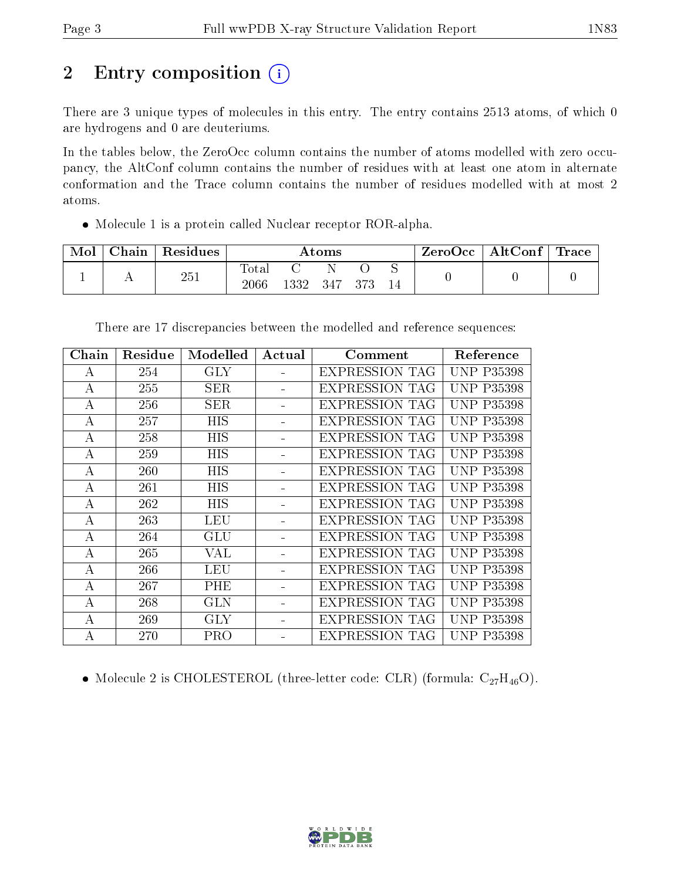# 2 Entry composition (i)

There are 3 unique types of molecules in this entry. The entry contains 2513 atoms, of which 0 are hydrogens and 0 are deuteriums.

In the tables below, the ZeroOcc column contains the number of atoms modelled with zero occupancy, the AltConf column contains the number of residues with at least one atom in alternate conformation and the Trace column contains the number of residues modelled with at most 2 atoms.

Molecule 1 is a protein called Nuclear receptor ROR-alpha.

| Mol | $\cap$ hain | Residues | $\rm{Atoms}$      |      |     | ZeroOcc | AltConf | $\operatorname{Trace} \mid$ |  |  |
|-----|-------------|----------|-------------------|------|-----|---------|---------|-----------------------------|--|--|
|     | . .         | 251      | Tota.<br>$2066\,$ | 1332 | 347 |         | ◡<br>14 |                             |  |  |

| Chain | Residue | Modelled   | Actual | Comment               | Reference         |
|-------|---------|------------|--------|-----------------------|-------------------|
| А     | 254     | <b>GLY</b> |        | <b>EXPRESSION TAG</b> | <b>UNP P35398</b> |
| А     | 255     | SER.       |        | <b>EXPRESSION TAG</b> | <b>UNP P35398</b> |
| А     | 256     | <b>SER</b> |        | <b>EXPRESSION TAG</b> | <b>UNP P35398</b> |
| А     | 257     | <b>HIS</b> |        | <b>EXPRESSION TAG</b> | UNP.<br>P35398    |
| А     | 258     | HIS        |        | <b>EXPRESSION TAG</b> | <b>UNP P35398</b> |
| А     | 259     | HIS        |        | <b>EXPRESSION TAG</b> | <b>UNP P35398</b> |
| А     | 260     | HIS        |        | <b>EXPRESSION TAG</b> | <b>UNP P35398</b> |
| А     | 261     | HIS        |        | <b>EXPRESSION TAG</b> | <b>UNP P35398</b> |
| А     | 262     | <b>HIS</b> |        | <b>EXPRESSION TAG</b> | <b>UNP P35398</b> |
| А     | 263     | LEU        |        | <b>EXPRESSION TAG</b> | <b>UNP P35398</b> |
| А     | 264     | GLU        |        | <b>EXPRESSION TAG</b> | <b>UNP P35398</b> |
| А     | 265     | VAL        |        | <b>EXPRESSION TAG</b> | <b>UNP P35398</b> |
| A     | 266     | LEU        |        | <b>EXPRESSION TAG</b> | <b>UNP P35398</b> |
| А     | 267     | PHE        |        | <b>EXPRESSION TAG</b> | <b>UNP P35398</b> |
| А     | 268     | GLN        |        | <b>EXPRESSION TAG</b> | <b>UNP P35398</b> |
| А     | 269     | <b>GLY</b> |        | <b>EXPRESSION TAG</b> | <b>UNP P35398</b> |
| А     | 270     | PRO        |        | <b>EXPRESSION TAG</b> | <b>UNP P35398</b> |

There are 17 discrepancies between the modelled and reference sequences:

• Molecule 2 is CHOLESTEROL (three-letter code: CLR) (formula:  $C_{27}H_{46}O$ ).

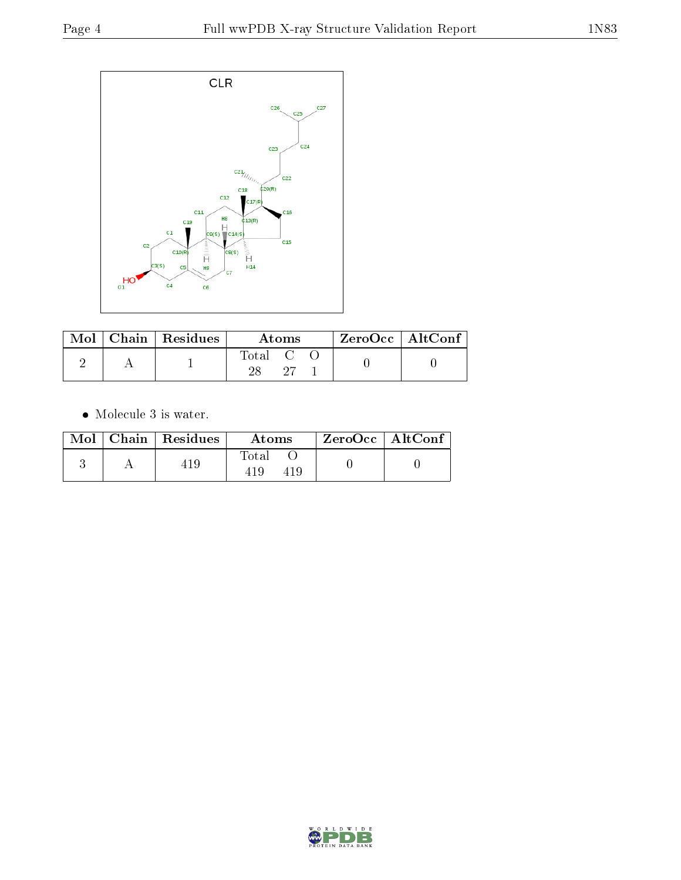

|  | $\parallel$ Mol $\parallel$ Chain $\parallel$ Residues $\parallel$ | Atoms         |  |  | ZeroOcc   AltConf |  |
|--|--------------------------------------------------------------------|---------------|--|--|-------------------|--|
|  |                                                                    | Total C<br>າຂ |  |  |                   |  |

 $\bullet\,$  Molecule 3 is water.

|  | $Mol$   Chain   Residues | Atoms | $\rm ZeroOcc \mid AltConf$ |  |
|--|--------------------------|-------|----------------------------|--|
|  | 10                       | Total |                            |  |

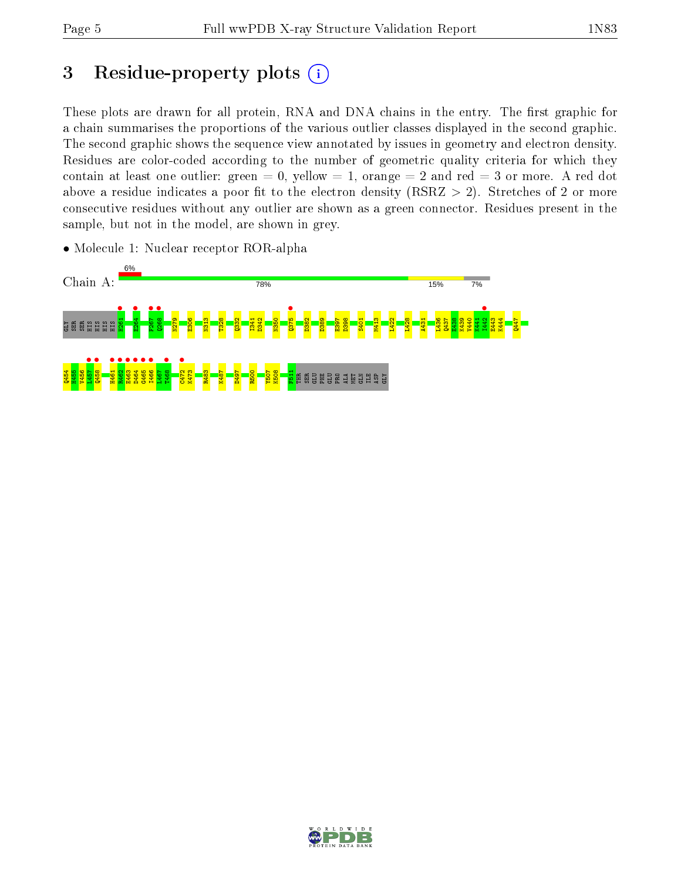# 3 Residue-property plots  $(i)$

These plots are drawn for all protein, RNA and DNA chains in the entry. The first graphic for a chain summarises the proportions of the various outlier classes displayed in the second graphic. The second graphic shows the sequence view annotated by issues in geometry and electron density. Residues are color-coded according to the number of geometric quality criteria for which they contain at least one outlier: green  $= 0$ , yellow  $= 1$ , orange  $= 2$  and red  $= 3$  or more. A red dot above a residue indicates a poor fit to the electron density (RSRZ  $> 2$ ). Stretches of 2 or more consecutive residues without any outlier are shown as a green connector. Residues present in the sample, but not in the model, are shown in grey.



• Molecule 1: Nuclear receptor ROR-alpha

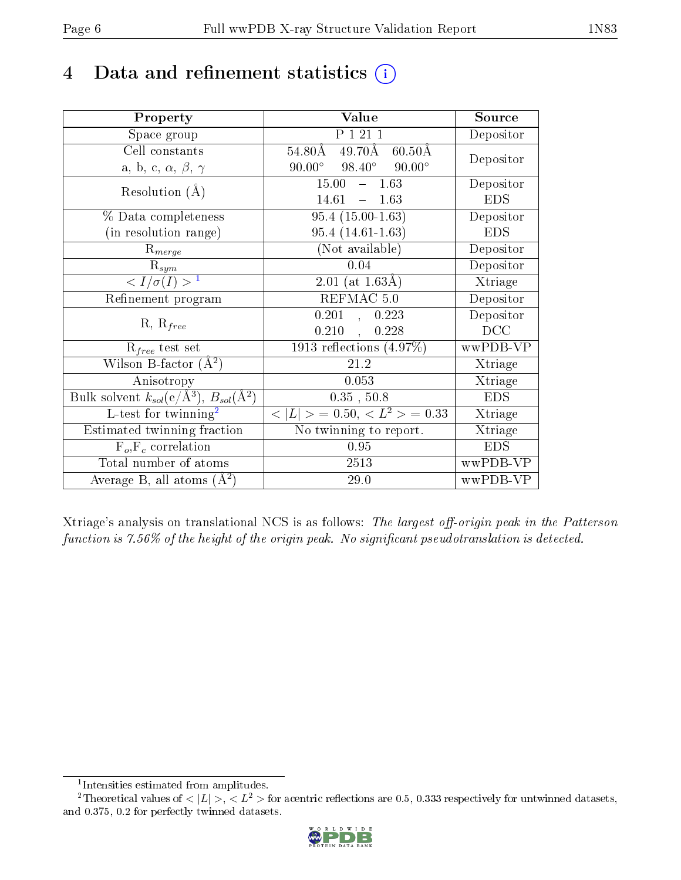## 4 Data and refinement statistics  $(i)$

| Property                                                         | Value                                                       | Source     |
|------------------------------------------------------------------|-------------------------------------------------------------|------------|
| Space group                                                      | P 1 21 1                                                    | Depositor  |
| Cell constants                                                   | $49.70\text{\AA}$<br>$54.80\text{\AA}$<br>$60.50\text{\AA}$ | Depositor  |
| a, b, c, $\alpha$ , $\beta$ , $\gamma$                           | $98.40^{\circ}$ $90.00^{\circ}$<br>$90.00^\circ$            |            |
| Resolution $(A)$                                                 | 15.00<br>$-1.63$                                            | Depositor  |
|                                                                  | 14.61<br>1.63<br>$\frac{1}{2}$                              | <b>EDS</b> |
| % Data completeness                                              | $95.4(15.00-1.63)$                                          | Depositor  |
| (in resolution range)                                            | $95.4(14.61-1.63)$                                          | <b>EDS</b> |
| $R_{merge}$                                                      | (Not available)                                             | Depositor  |
| $\mathrm{R}_{sym}$                                               | 0.04                                                        | Depositor  |
| $\langle I/\sigma(I) \rangle^{-1}$                               | $2.01$ (at 1.63Å)                                           | Xtriage    |
| Refinement program                                               | REFMAC 5.0                                                  | Depositor  |
| $R, R_{free}$                                                    | 0.201<br>0.223<br>$\frac{1}{2}$                             | Depositor  |
|                                                                  | 0.210<br>0.228<br>$\ddot{\phantom{a}}$                      | DCC        |
| $\mathcal{R}_{free}$ test set                                    | $1913$ reflections $(4.97\%)$                               | wwPDB-VP   |
| Wilson B-factor $(A^2)$                                          | 21.2                                                        | Xtriage    |
| Anisotropy                                                       | 0.053                                                       | Xtriage    |
| Bulk solvent $k_{sol}(\text{e}/\text{A}^3), B_{sol}(\text{A}^2)$ | 0.35, 50.8                                                  | <b>EDS</b> |
| L-test for $\mathrm{twinning}^2$                                 | $< L >$ = 0.50, $< L^2 >$ = 0.33                            | Xtriage    |
| Estimated twinning fraction                                      | No twinning to report.                                      | Xtriage    |
| $F_o, F_c$ correlation                                           | 0.95                                                        | <b>EDS</b> |
| Total number of atoms                                            | 2513                                                        | wwPDB-VP   |
| Average B, all atoms $(A^2)$                                     | 29.0                                                        | wwPDB-VP   |

Xtriage's analysis on translational NCS is as follows: The largest off-origin peak in the Patterson function is  $7.56\%$  of the height of the origin peak. No significant pseudotranslation is detected.

<sup>&</sup>lt;sup>2</sup>Theoretical values of  $\langle |L| \rangle$ ,  $\langle L^2 \rangle$  for acentric reflections are 0.5, 0.333 respectively for untwinned datasets, and 0.375, 0.2 for perfectly twinned datasets.



<span id="page-5-1"></span><span id="page-5-0"></span><sup>1</sup> Intensities estimated from amplitudes.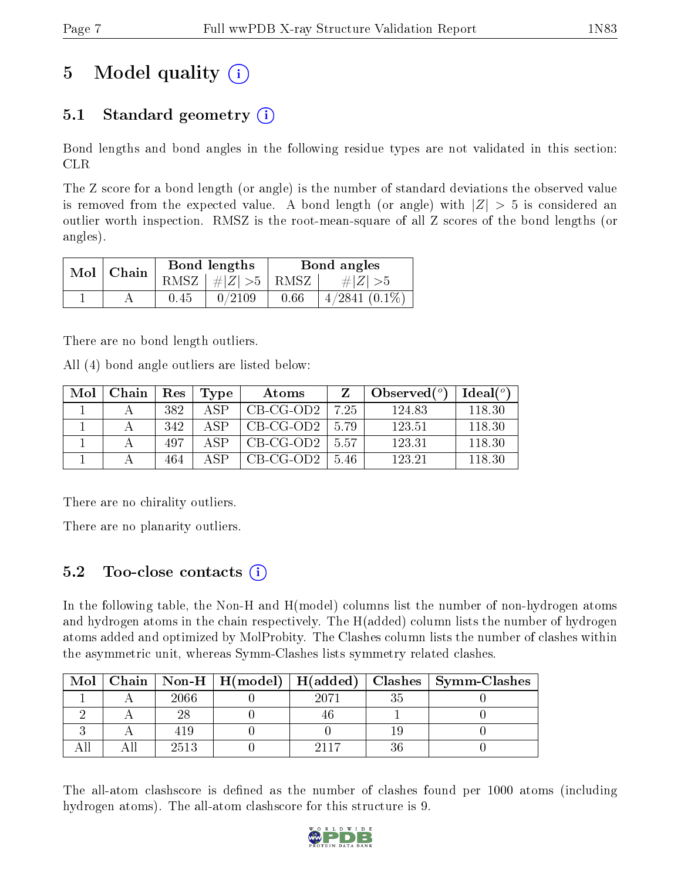# 5 Model quality  $(i)$

## 5.1 Standard geometry  $(i)$

Bond lengths and bond angles in the following residue types are not validated in this section: CLR

The Z score for a bond length (or angle) is the number of standard deviations the observed value is removed from the expected value. A bond length (or angle) with  $|Z| > 5$  is considered an outlier worth inspection. RMSZ is the root-mean-square of all Z scores of the bond lengths (or angles).

| $Mol$   Chain |      | Bond lengths                 | Bond angles |                 |  |
|---------------|------|------------------------------|-------------|-----------------|--|
|               |      | $RMSZ$ $\mid \# Z  > 5$ RMSZ |             | $\# Z  > 5$     |  |
|               | 0.45 | 0/2109                       | 0.66        | $4/2841$ (0.1%) |  |

There are no bond length outliers.

All (4) bond angle outliers are listed below:

| Mol | Chain | Res | Type | Atoms       |        | Observed $(°)$ | $Ideal(^o)$ |
|-----|-------|-----|------|-------------|--------|----------------|-------------|
|     |       | 382 | A SP | $CB-CG-OD2$ | 7.25   | 124.83         | 118.30      |
|     |       | 342 | A SP | $CB-CG-OD2$ | - 5.79 | 123.51         | 118.30      |
|     |       | 497 | A SP | $CB-CG-OD2$ | -5.57  | 123.31         | 118.30      |
|     |       | 464 | ΔSΡ  | $CB-CG-OD2$ | 5.46   | 123 21         | 118.30      |

There are no chirality outliers.

There are no planarity outliers.

### 5.2 Too-close contacts  $\overline{a}$

In the following table, the Non-H and H(model) columns list the number of non-hydrogen atoms and hydrogen atoms in the chain respectively. The H(added) column lists the number of hydrogen atoms added and optimized by MolProbity. The Clashes column lists the number of clashes within the asymmetric unit, whereas Symm-Clashes lists symmetry related clashes.

| Mol |      |      | Chain   Non-H   H(model)   H(added)   Clashes   Symm-Clashes |
|-----|------|------|--------------------------------------------------------------|
|     | 2066 | 2071 |                                                              |
|     |      |      |                                                              |
|     | 419  |      |                                                              |
|     | 2513 |      |                                                              |

The all-atom clashscore is defined as the number of clashes found per 1000 atoms (including hydrogen atoms). The all-atom clashscore for this structure is 9.

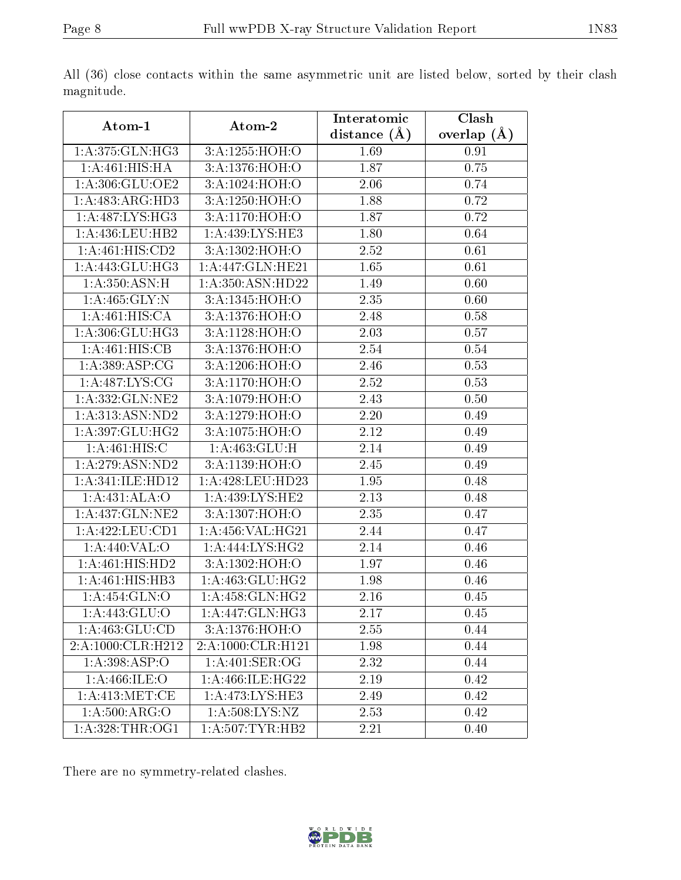|--|

| Atom-1                       | Atom-2               | Interatomic    | Clash           |
|------------------------------|----------------------|----------------|-----------------|
|                              |                      | distance $(A)$ | overlap $(\AA)$ |
| 1:A:375:GLN:HG3              | 3:A:1255:HOH:O       | 1.69           | 0.91            |
| 1:A:461:HIS:HA               | 3:A:1376:HOH:O       | 1.87           | 0.75            |
| 1:A:306:GLU:OE2              | 3:A:1024:HOH:O       | 2.06           | 0.74            |
| 1:A:483:ARG:HD3              | 3:A:1250:HOH:O       | 1.88           | 0.72            |
| $1:A:\overline{487:LYS:HG3}$ | 3:A:1170:HOH:O       | 1.87           | 0.72            |
| 1:A:436:LEU:HB2              | 1:A:439:LYS:HE3      | 1.80           | 0.64            |
| 1: A: 461: HIS: CD2          | 3: A: 1302: HOH:O    | 2.52           | 0.61            |
| 1:A:443:GLU:HG3              | 1:A:447:GLN:HE21     | 1.65           | 0.61            |
| 1: A:350:ASN:H               | 1: A: 350: ASN: HD22 | 1.49           | 0.60            |
| 1:A:465:GLY:N                | 3:A:1345:HOH:O       | 2.35           | 0.60            |
| 1:A:461:HIS:CA               | 3: A: 1376: HOH:O    | 2.48           | 0.58            |
| 1: A:306: GLU:HG3            | 3:A:1128:HOH:O       | 2.03           | 0.57            |
| 1:A:461:HIS:CB               | 3:A:1376:HOH:O       | 2.54           | 0.54            |
| 1:A:389:ASP:CG               | 3:A:1206:HOH:O       | 2.46           | 0.53            |
| 1: A:487: LYS: CG            | 3: A:1170:HOH:O      | 2.52           | 0.53            |
| 1:A:332:GLN:NE2              | 3:A:1079:HOH:O       | 2.43           | 0.50            |
| 1:A:313:ASN:ND2              | 3:A:1279:HOH:O       | 2.20           | 0.49            |
| 1:A:397:GLU:HG2              | 3: A:1075:HOH:O      | 2.12           | 0.49            |
| 1:A:461:HIS:C                | 1: A: 463: GLU: H    | 2.14           | 0.49            |
| 1:A:279:ASN:ND2              | 3:A:1139:HOH:O       | 2.45           | 0.49            |
| 1:A:341:ILE:HD12             | 1:A:428:LEU:HD23     | 1.95           | 0.48            |
| 1:A:431:ALA:O                | 1:A:439:LYS:HE2      | 2.13           | 0.48            |
| 1:A:437:GLN:NE2              | 3:A:1307:HOH:O       | 2.35           | 0.47            |
| 1: A: 422: LEU: CD1          | 1:A:456:VAL:HG21     | 2.44           | 0.47            |
| 1:A:440:VAL:O                | 1:A:444:LYS:HG2      | 2.14           | 0.46            |
| 1:A:461:HIS:HD2              | 3:A:1302:HOH:O       | 1.97           | 0.46            |
| 1:A:461:HIS:HB3              | 1:A:463:GLU:HG2      | 1.98           | 0.46            |
| 1:A:454:GLN:O                | 1:A:458:GLN:HG2      | 2.16           | 0.45            |
| 1:A:443:GLU:O                | 1: A:447: GLN: HG3   | 2.17           | 0.45            |
| 1: A: 463: GLU: CD           | 3:A:1376:HOH:O       | 2.55           | 0.44            |
| 2:A:1000:CLR:H212            | 2:A:1000:CLR:H121    | 1.98           | 0.44            |
| 1: A: 398: ASP:O             | 1: A:401: SER:OG     | 2.32           | 0.44            |
| 1: A:466: ILE: O             | 1: A:466: ILE: HG22  | 2.19           | 0.42            |
| 1: A:413:MET:CE              | 1: A:473: LYS: HE3   | 2.49           | 0.42            |
| 1: A:500:ARG:O               | 1: A:508: LYS: NZ    | 2.53           | 0.42            |
| 1: A:328:THR:OG1             | 1:A:507:TYR:HB2      | 2.21           | 0.40            |

All (36) close contacts within the same asymmetric unit are listed below, sorted by their clash magnitude.

There are no symmetry-related clashes.

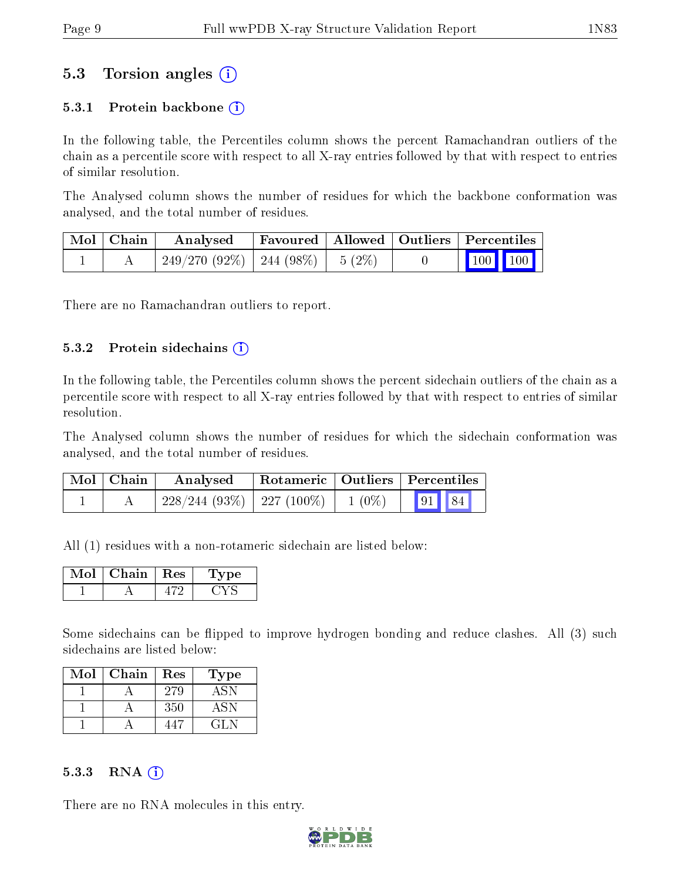### 5.3 Torsion angles (i)

#### 5.3.1 Protein backbone  $(i)$

In the following table, the Percentiles column shows the percent Ramachandran outliers of the chain as a percentile score with respect to all X-ray entries followed by that with respect to entries of similar resolution.

The Analysed column shows the number of residues for which the backbone conformation was analysed, and the total number of residues.

| Mol   Chain | Analysed                               | Favoured   Allowed   Outliers   Percentiles |  |                                                              |  |
|-------------|----------------------------------------|---------------------------------------------|--|--------------------------------------------------------------|--|
|             | $249/270(92\%)$   244 (98\%)   5 (2\%) |                                             |  | $\begin{array}{ c c c c c }\n\hline\n100 & 100\n\end{array}$ |  |

There are no Ramachandran outliers to report.

#### $5.3.2$  Protein sidechains  $(i)$

In the following table, the Percentiles column shows the percent sidechain outliers of the chain as a percentile score with respect to all X-ray entries followed by that with respect to entries of similar resolution.

The Analysed column shows the number of residues for which the sidechain conformation was analysed, and the total number of residues.

| Mol   Chain | Analysed                                           |  | Rotameric   Outliers   Percentiles |  |
|-------------|----------------------------------------------------|--|------------------------------------|--|
|             | $228/244$ (93\%)   227 (100\%)   1 (0\%)   91   84 |  |                                    |  |

All (1) residues with a non-rotameric sidechain are listed below:

| Chain | Res | pе |
|-------|-----|----|
|       |     |    |

Some sidechains can be flipped to improve hydrogen bonding and reduce clashes. All (3) such sidechains are listed below:

| Mol | Chain | Res | Type   |
|-----|-------|-----|--------|
|     |       | 279 | ASN    |
|     |       | 350 | 4.8N   |
|     |       |     | 14 L.N |

#### $5.3.3$  RNA  $(i)$

There are no RNA molecules in this entry.

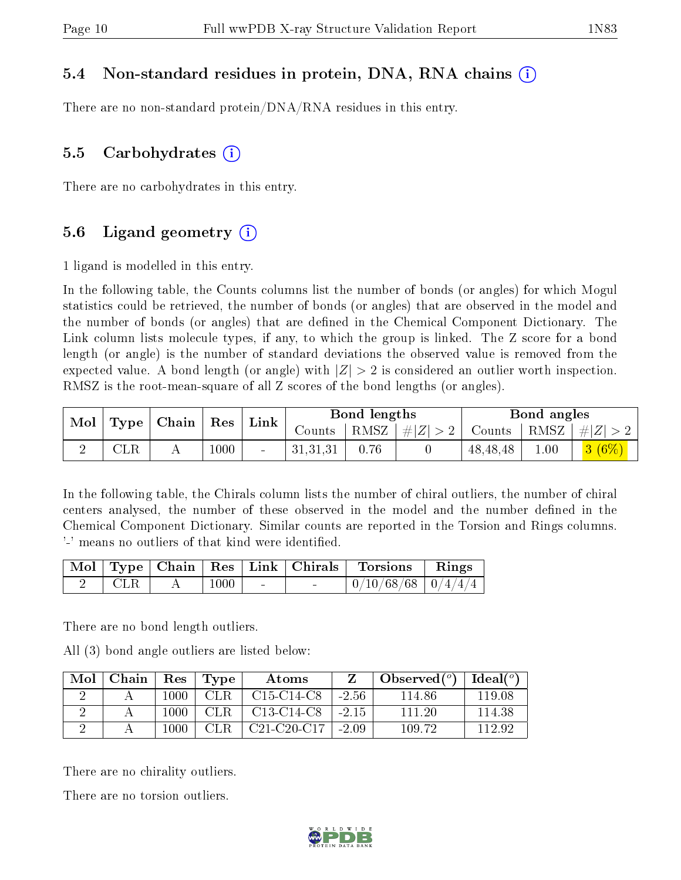### 5.4 Non-standard residues in protein, DNA, RNA chains (i)

There are no non-standard protein/DNA/RNA residues in this entry.

#### 5.5 Carbohydrates  $(i)$

There are no carbohydrates in this entry.

### 5.6 Ligand geometry  $(i)$

1 ligand is modelled in this entry.

In the following table, the Counts columns list the number of bonds (or angles) for which Mogul statistics could be retrieved, the number of bonds (or angles) that are observed in the model and the number of bonds (or angles) that are dened in the Chemical Component Dictionary. The Link column lists molecule types, if any, to which the group is linked. The Z score for a bond length (or angle) is the number of standard deviations the observed value is removed from the expected value. A bond length (or angle) with  $|Z| > 2$  is considered an outlier worth inspection. RMSZ is the root-mean-square of all Z scores of the bond lengths (or angles).

| Mol | Type         | Chain | $R$ es | Link |          | <b>Bond lengths</b> |         |               | Bond angles |                           |
|-----|--------------|-------|--------|------|----------|---------------------|---------|---------------|-------------|---------------------------|
|     |              |       |        |      | Counts   | RMSZ                | #Z  > 2 | Counts   RMSZ |             | #Z                        |
|     | $_{\rm CLR}$ |       | 1000   |      | 31,31,31 | 0.76                |         | 48, 48, 48    | 0.01        | 3 <sub>1</sub><br>$(6\%)$ |

In the following table, the Chirals column lists the number of chiral outliers, the number of chiral centers analysed, the number of these observed in the model and the number defined in the Chemical Component Dictionary. Similar counts are reported in the Torsion and Rings columns. '-' means no outliers of that kind were identified.

|     |      |                          | Mol   Type   Chain   Res   Link   Chirals   Torsions   Rings |  |
|-----|------|--------------------------|--------------------------------------------------------------|--|
| CLR | 1000 | <b>Contract Contract</b> | $0/10/68/68$   $0/4/4/4$                                     |  |

There are no bond length outliers.

All (3) bond angle outliers are listed below:

| Mol | Chain | Res  | Type | Atoms                                            |         | Observed $(°)$ | $Ideal(^{\circ})$ |
|-----|-------|------|------|--------------------------------------------------|---------|----------------|-------------------|
|     |       | 1000 | CLR. | $C15-C14-C8$                                     | $-2.56$ | 114.86         | 119.08            |
|     |       | 1000 | CLR. | C <sub>13</sub> -C <sub>14</sub> -C <sub>8</sub> | $-2.15$ | 111 20         | 114.38            |
|     |       | 1000 | CLR. | $C21-C20-C17$                                    | $-2.09$ | 109 72         | 112.92            |

There are no chirality outliers.

There are no torsion outliers.

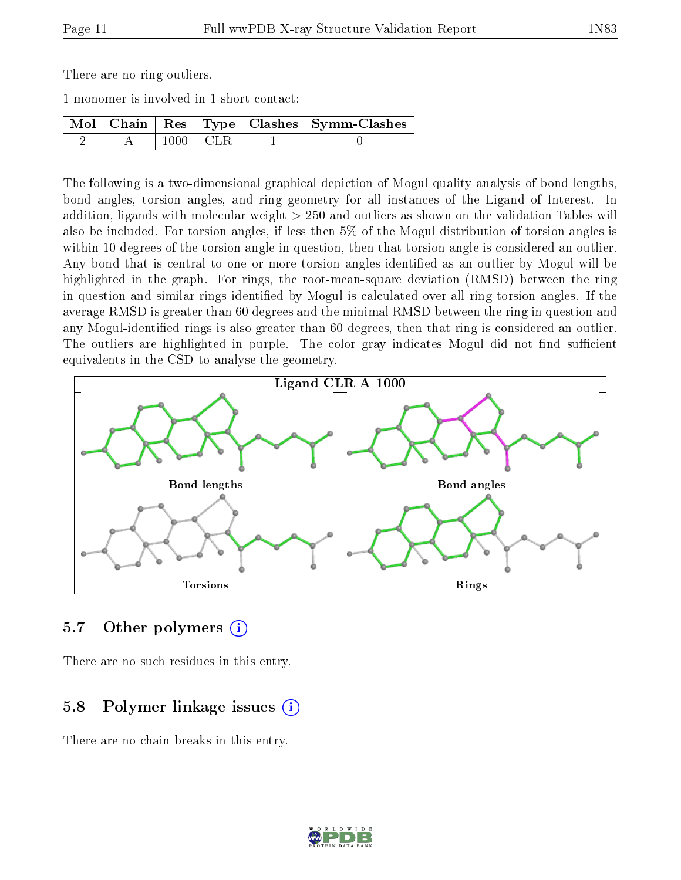There are no ring outliers.

1 monomer is involved in 1 short contact:

|  |              | Mol   Chain   Res   Type   Clashes   Symm-Clashes |
|--|--------------|---------------------------------------------------|
|  | $1000$   CLR |                                                   |

The following is a two-dimensional graphical depiction of Mogul quality analysis of bond lengths, bond angles, torsion angles, and ring geometry for all instances of the Ligand of Interest. In addition, ligands with molecular weight > 250 and outliers as shown on the validation Tables will also be included. For torsion angles, if less then 5% of the Mogul distribution of torsion angles is within 10 degrees of the torsion angle in question, then that torsion angle is considered an outlier. Any bond that is central to one or more torsion angles identified as an outlier by Mogul will be highlighted in the graph. For rings, the root-mean-square deviation (RMSD) between the ring in question and similar rings identified by Mogul is calculated over all ring torsion angles. If the average RMSD is greater than 60 degrees and the minimal RMSD between the ring in question and any Mogul-identified rings is also greater than 60 degrees, then that ring is considered an outlier. The outliers are highlighted in purple. The color gray indicates Mogul did not find sufficient equivalents in the CSD to analyse the geometry.



#### 5.7 [O](https://www.wwpdb.org/validation/2017/XrayValidationReportHelp#nonstandard_residues_and_ligands)ther polymers (i)

There are no such residues in this entry.

### 5.8 Polymer linkage issues (i)

There are no chain breaks in this entry.

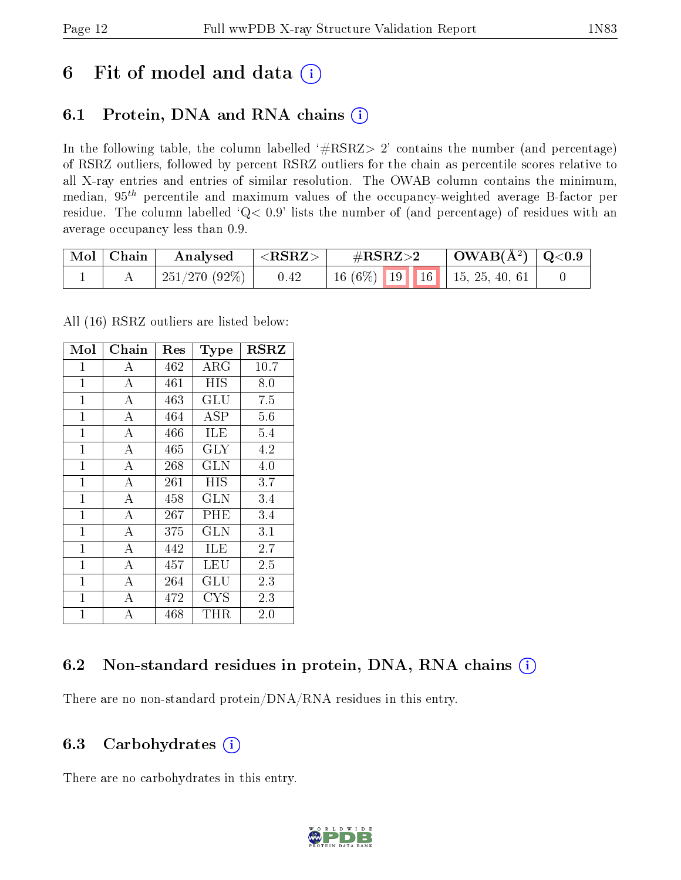## 6 Fit of model and data  $(i)$

## 6.1 Protein, DNA and RNA chains  $(i)$

In the following table, the column labelled  $#RSRZ> 2'$  contains the number (and percentage) of RSRZ outliers, followed by percent RSRZ outliers for the chain as percentile scores relative to all X-ray entries and entries of similar resolution. The OWAB column contains the minimum, median,  $95<sup>th</sup>$  percentile and maximum values of the occupancy-weighted average B-factor per residue. The column labelled ' $Q< 0.9$ ' lists the number of (and percentage) of residues with an average occupancy less than 0.9.

| $\mid$ Mol $\mid$ Chain | Analysed      | $<$ RSRZ $>$ | $\rm \#RSRZ{>}2$               | $\mid$ OWAB(Å <sup>2</sup> ) $\mid$ Q<0.9 |  |
|-------------------------|---------------|--------------|--------------------------------|-------------------------------------------|--|
|                         | 251/270 (92%) | 0.42         | $16(6\%)$ 19 16 15, 25, 40, 61 |                                           |  |

All (16) RSRZ outliers are listed below:

| Mol            | Chain              | $\operatorname{Res}% \left( \mathcal{N}\right) \equiv\operatorname{Res}(\mathcal{N}_{0})\cap\mathcal{N}_{1}$ | Type                 | <b>RSRZ</b> |
|----------------|--------------------|--------------------------------------------------------------------------------------------------------------|----------------------|-------------|
| $\mathbf{1}$   | А                  | 462                                                                                                          | ${\rm ARG}$          | 10.7        |
| $\mathbf{1}$   | A                  | 461                                                                                                          | HIS                  | 8.0         |
| $\mathbf{1}$   | $\overline{A}$     | 463                                                                                                          | $\operatorname{GLU}$ | 7.5         |
| $\mathbf{1}$   | $\bf{A}$           | 464                                                                                                          | ASP                  | 5.6         |
| $\mathbf{1}$   | $\overline{\rm A}$ | 466                                                                                                          | ILE                  | 5.4         |
| $\mathbf 1$    | А                  | 465                                                                                                          | GLY                  | 4.2         |
| $\mathbf{1}$   | $\overline{A}$     | 268                                                                                                          | <b>GLN</b>           | 4.0         |
| $\overline{1}$ | $\overline{A}$     | 261                                                                                                          | HIS                  | 3.7         |
| $\mathbf{1}$   | $\bf{A}$           | 458                                                                                                          | GLN                  | 3.4         |
| $\mathbf{1}$   | $\overline{\rm A}$ | 267                                                                                                          | PHE                  | 3.4         |
| $\overline{1}$ | А                  | 375                                                                                                          | $_{\rm GLN}$         | 3.1         |
| $\mathbf{1}$   | А                  | 442                                                                                                          | ILE                  | 2.7         |
| $\mathbf{1}$   | А                  | 457                                                                                                          | LEU                  | 2.5         |
| $\overline{1}$ | $\overline{A}$     | 264                                                                                                          | GLU                  | 2.3         |
| $\mathbf{1}$   | $\bf{A}$           | 472                                                                                                          | <b>CYS</b>           | 2.3         |
| $\overline{1}$ | А                  | 468                                                                                                          | $\rm THR$            | 2.0         |

### 6.2 Non-standard residues in protein, DNA, RNA chains  $(i)$

There are no non-standard protein/DNA/RNA residues in this entry.

### 6.3 Carbohydrates (i)

There are no carbohydrates in this entry.